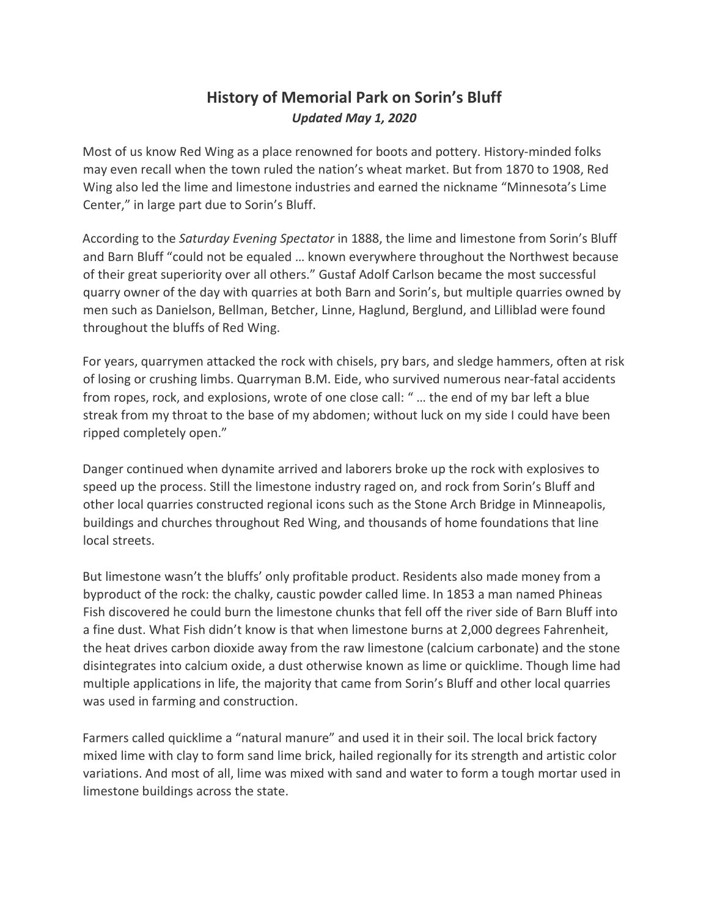## **History of Memorial Park on Sorin's Bluff** *Updated May 1, 2020*

Most of us know Red Wing as a place renowned for boots and pottery. History-minded folks may even recall when the town ruled the nation's wheat market. But from 1870 to 1908, Red Wing also led the lime and limestone industries and earned the nickname "Minnesota's Lime Center," in large part due to Sorin's Bluff.

According to the *Saturday Evening Spectator* in 1888, the lime and limestone from Sorin's Bluff and Barn Bluff "could not be equaled … known everywhere throughout the Northwest because of their great superiority over all others." Gustaf Adolf Carlson became the most successful quarry owner of the day with quarries at both Barn and Sorin's, but multiple quarries owned by men such as Danielson, Bellman, Betcher, Linne, Haglund, Berglund, and Lilliblad were found throughout the bluffs of Red Wing.

For years, quarrymen attacked the rock with chisels, pry bars, and sledge hammers, often at risk of losing or crushing limbs. Quarryman B.M. Eide, who survived numerous near-fatal accidents from ropes, rock, and explosions, wrote of one close call: " … the end of my bar left a blue streak from my throat to the base of my abdomen; without luck on my side I could have been ripped completely open."

Danger continued when dynamite arrived and laborers broke up the rock with explosives to speed up the process. Still the limestone industry raged on, and rock from Sorin's Bluff and other local quarries constructed regional icons such as the Stone Arch Bridge in Minneapolis, buildings and churches throughout Red Wing, and thousands of home foundations that line local streets.

But limestone wasn't the bluffs' only profitable product. Residents also made money from a byproduct of the rock: the chalky, caustic powder called lime. In 1853 a man named Phineas Fish discovered he could burn the limestone chunks that fell off the river side of Barn Bluff into a fine dust. What Fish didn't know is that when limestone burns at 2,000 degrees Fahrenheit, the heat drives carbon dioxide away from the raw limestone (calcium carbonate) and the stone disintegrates into calcium oxide, a dust otherwise known as lime or quicklime. Though lime had multiple applications in life, the majority that came from Sorin's Bluff and other local quarries was used in farming and construction.

Farmers called quicklime a "natural manure" and used it in their soil. The local brick factory mixed lime with clay to form sand lime brick, hailed regionally for its strength and artistic color variations. And most of all, lime was mixed with sand and water to form a tough mortar used in limestone buildings across the state.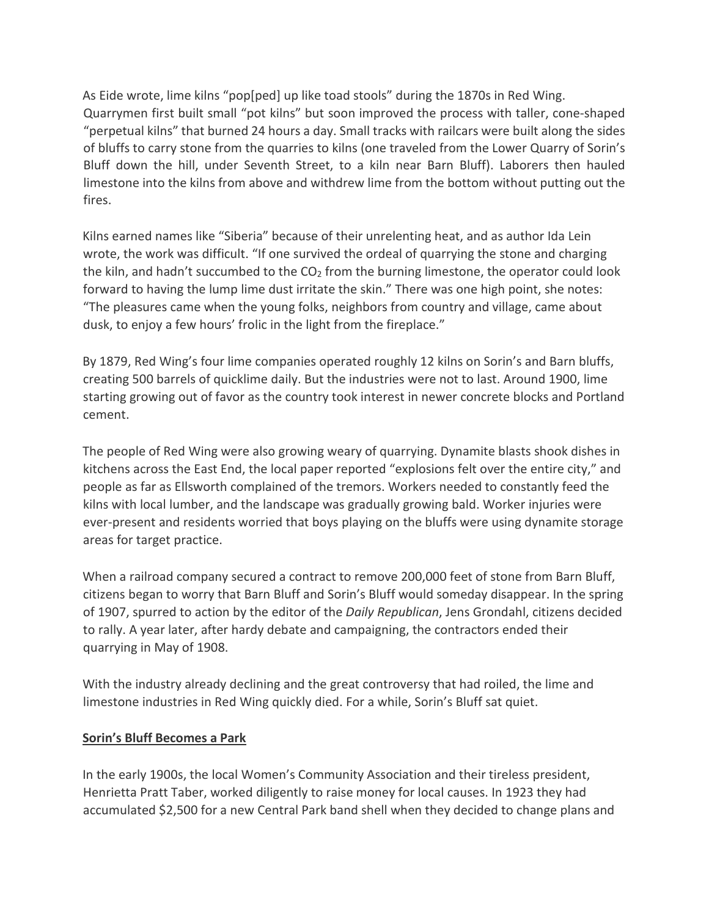As Eide wrote, lime kilns "pop[ped] up like toad stools" during the 1870s in Red Wing. Quarrymen first built small "pot kilns" but soon improved the process with taller, cone-shaped "perpetual kilns" that burned 24 hours a day. Small tracks with railcars were built along the sides of bluffs to carry stone from the quarries to kilns (one traveled from the Lower Quarry of Sorin's Bluff down the hill, under Seventh Street, to a kiln near Barn Bluff). Laborers then hauled limestone into the kilns from above and withdrew lime from the bottom without putting out the fires.

Kilns earned names like "Siberia" because of their unrelenting heat, and as author Ida Lein wrote, the work was difficult. "If one survived the ordeal of quarrying the stone and charging the kiln, and hadn't succumbed to the  $CO<sub>2</sub>$  from the burning limestone, the operator could look forward to having the lump lime dust irritate the skin." There was one high point, she notes: "The pleasures came when the young folks, neighbors from country and village, came about dusk, to enjoy a few hours' frolic in the light from the fireplace."

By 1879, Red Wing's four lime companies operated roughly 12 kilns on Sorin's and Barn bluffs, creating 500 barrels of quicklime daily. But the industries were not to last. Around 1900, lime starting growing out of favor as the country took interest in newer concrete blocks and Portland cement.

The people of Red Wing were also growing weary of quarrying. Dynamite blasts shook dishes in kitchens across the East End, the local paper reported "explosions felt over the entire city," and people as far as Ellsworth complained of the tremors. Workers needed to constantly feed the kilns with local lumber, and the landscape was gradually growing bald. Worker injuries were ever-present and residents worried that boys playing on the bluffs were using dynamite storage areas for target practice.

When a railroad company secured a contract to remove 200,000 feet of stone from Barn Bluff, citizens began to worry that Barn Bluff and Sorin's Bluff would someday disappear. In the spring of 1907, spurred to action by the editor of the *Daily Republican*, Jens Grondahl, citizens decided to rally. A year later, after hardy debate and campaigning, the contractors ended their quarrying in May of 1908.

With the industry already declining and the great controversy that had roiled, the lime and limestone industries in Red Wing quickly died. For a while, Sorin's Bluff sat quiet.

## **Sorin's Bluff Becomes a Park**

In the early 1900s, the local Women's Community Association and their tireless president, Henrietta Pratt Taber, worked diligently to raise money for local causes. In 1923 they had accumulated \$2,500 for a new Central Park band shell when they decided to change plans and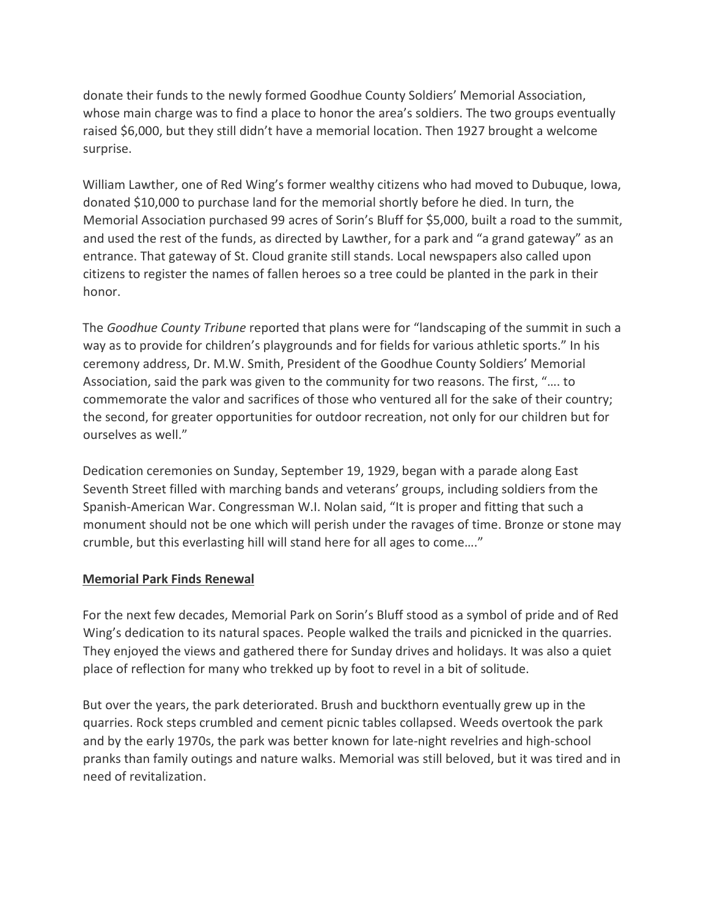donate their funds to the newly formed Goodhue County Soldiers' Memorial Association, whose main charge was to find a place to honor the area's soldiers. The two groups eventually raised \$6,000, but they still didn't have a memorial location. Then 1927 brought a welcome surprise.

William Lawther, one of Red Wing's former wealthy citizens who had moved to Dubuque, Iowa, donated \$10,000 to purchase land for the memorial shortly before he died. In turn, the Memorial Association purchased 99 acres of Sorin's Bluff for \$5,000, built a road to the summit, and used the rest of the funds, as directed by Lawther, for a park and "a grand gateway" as an entrance. That gateway of St. Cloud granite still stands. Local newspapers also called upon citizens to register the names of fallen heroes so a tree could be planted in the park in their honor.

The *Goodhue County Tribune* reported that plans were for "landscaping of the summit in such a way as to provide for children's playgrounds and for fields for various athletic sports." In his ceremony address, Dr. M.W. Smith, President of the Goodhue County Soldiers' Memorial Association, said the park was given to the community for two reasons. The first, "…. to commemorate the valor and sacrifices of those who ventured all for the sake of their country; the second, for greater opportunities for outdoor recreation, not only for our children but for ourselves as well."

Dedication ceremonies on Sunday, September 19, 1929, began with a parade along East Seventh Street filled with marching bands and veterans' groups, including soldiers from the Spanish-American War. Congressman W.I. Nolan said, "It is proper and fitting that such a monument should not be one which will perish under the ravages of time. Bronze or stone may crumble, but this everlasting hill will stand here for all ages to come…."

## **Memorial Park Finds Renewal**

For the next few decades, Memorial Park on Sorin's Bluff stood as a symbol of pride and of Red Wing's dedication to its natural spaces. People walked the trails and picnicked in the quarries. They enjoyed the views and gathered there for Sunday drives and holidays. It was also a quiet place of reflection for many who trekked up by foot to revel in a bit of solitude.

But over the years, the park deteriorated. Brush and buckthorn eventually grew up in the quarries. Rock steps crumbled and cement picnic tables collapsed. Weeds overtook the park and by the early 1970s, the park was better known for late-night revelries and high-school pranks than family outings and nature walks. Memorial was still beloved, but it was tired and in need of revitalization.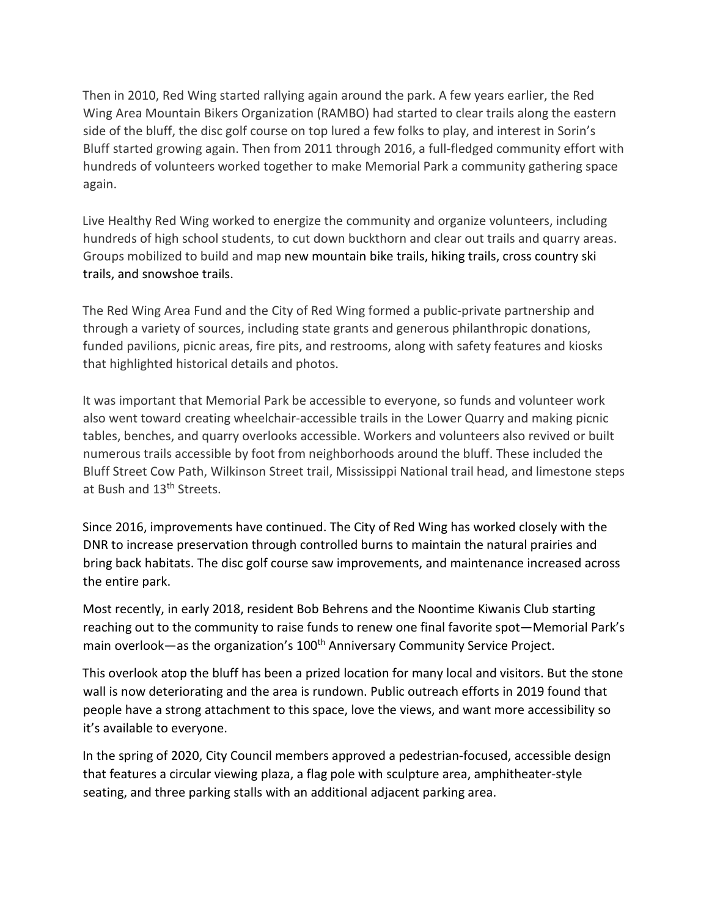Then in 2010, Red Wing started rallying again around the park. A few years earlier, the Red Wing Area Mountain Bikers Organization (RAMBO) had started to clear trails along the eastern side of the bluff, the disc golf course on top lured a few folks to play, and interest in Sorin's Bluff started growing again. Then from 2011 through 2016, a full-fledged community effort with hundreds of volunteers worked together to make Memorial Park a community gathering space again.

Live Healthy Red Wing worked to energize the community and organize volunteers, including hundreds of high school students, to cut down buckthorn and clear out trails and quarry areas. Groups mobilized to build and map new mountain bike trails, hiking trails, cross country ski trails, and snowshoe trails.

The Red Wing Area Fund and the City of Red Wing formed a public-private partnership and through a variety of sources, including state grants and generous philanthropic donations, funded pavilions, picnic areas, fire pits, and restrooms, along with safety features and kiosks that highlighted historical details and photos.

It was important that Memorial Park be accessible to everyone, so funds and volunteer work also went toward creating wheelchair-accessible trails in the Lower Quarry and making picnic tables, benches, and quarry overlooks accessible. Workers and volunteers also revived or built numerous trails accessible by foot from neighborhoods around the bluff. These included the Bluff Street Cow Path, Wilkinson Street trail, Mississippi National trail head, and limestone steps at Bush and 13<sup>th</sup> Streets.

Since 2016, improvements have continued. The City of Red Wing has worked closely with the DNR to increase preservation through controlled burns to maintain the natural prairies and bring back habitats. The disc golf course saw improvements, and maintenance increased across the entire park.

Most recently, in early 2018, resident Bob Behrens and the Noontime Kiwanis Club starting reaching out to the community to raise funds to renew one final favorite spot—Memorial Park's main overlook—as the organization's 100<sup>th</sup> Anniversary Community Service Project.

This overlook atop the bluff has been a prized location for many local and visitors. But the stone wall is now deteriorating and the area is rundown. Public outreach efforts in 2019 found that people have a strong attachment to this space, love the views, and want more accessibility so it's available to everyone.

In the spring of 2020, City Council members approved a pedestrian-focused, accessible design that features a circular viewing plaza, a flag pole with sculpture area, amphitheater-style seating, and three parking stalls with an additional adjacent parking area.